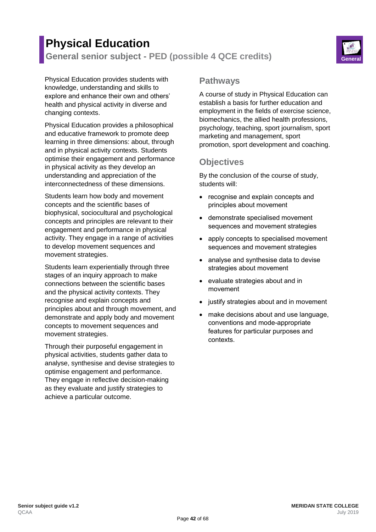# **Physical Education General senior subject - PED (possible 4 QCE credits) General**



Physical Education provides students with knowledge, understanding and skills to explore and enhance their own and others' health and physical activity in diverse and changing contexts.

Physical Education provides a philosophical and educative framework to promote deep learning in three dimensions: about, through and in physical activity contexts. Students optimise their engagement and performance in physical activity as they develop an understanding and appreciation of the interconnectedness of these dimensions.

Students learn how body and movement concepts and the scientific bases of biophysical, sociocultural and psychological concepts and principles are relevant to their engagement and performance in physical activity. They engage in a range of activities to develop movement sequences and movement strategies.

Students learn experientially through three stages of an inquiry approach to make connections between the scientific bases and the physical activity contexts. They recognise and explain concepts and principles about and through movement, and demonstrate and apply body and movement concepts to movement sequences and movement strategies.

Through their purposeful engagement in physical activities, students gather data to analyse, synthesise and devise strategies to optimise engagement and performance. They engage in reflective decision-making as they evaluate and justify strategies to achieve a particular outcome.

### **Pathways**

A course of study in Physical Education can establish a basis for further education and employment in the fields of exercise science, biomechanics, the allied health professions, psychology, teaching, sport journalism, sport marketing and management, sport promotion, sport development and coaching.

## **Objectives**

By the conclusion of the course of study, students will:

- recognise and explain concepts and principles about movement
- demonstrate specialised movement sequences and movement strategies
- apply concepts to specialised movement sequences and movement strategies
- analyse and synthesise data to devise strategies about movement
- evaluate strategies about and in movement
- justify strategies about and in movement
- make decisions about and use language, conventions and mode-appropriate features for particular purposes and contexts.